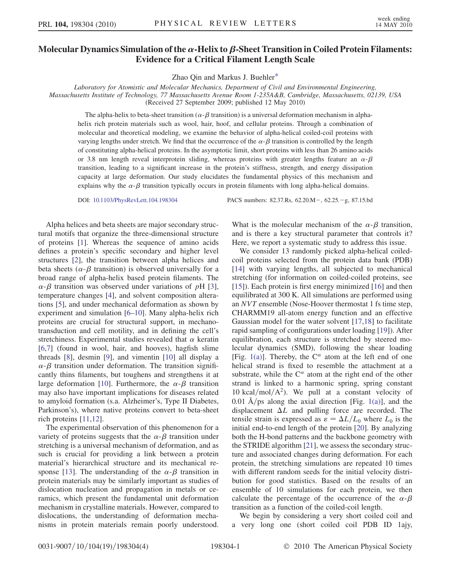## Molecular Dynamics Simulation of the  $\alpha$ -Helix to  $\beta$ -Sheet Transition in Coiled Protein Filaments: Evidence for a Critical Filament Length Scale

Zhao Qin and Markus J. Buehle[r\\*](#page-3-0)

<span id="page-0-0"></span>Laboratory for Atomistic and Molecular Mechanics, Department of Civil and Environmental Engineering, Massachusetts Institute of Technology, 77 Massachusetts Avenue Room 1-235A&B, Cambridge, Massachusetts, 02139, USA

(Received 27 September 2009; published 12 May 2010)

The alpha-helix to beta-sheet transition ( $\alpha$ - $\beta$  transition) is a universal deformation mechanism in alphahelix rich protein materials such as wool, hair, hoof, and cellular proteins. Through a combination of molecular and theoretical modeling, we examine the behavior of alpha-helical coiled-coil proteins with varying lengths under stretch. We find that the occurrence of the  $\alpha$ - $\beta$  transition is controlled by the length of constituting alpha-helical proteins. In the asymptotic limit, short proteins with less than 26 amino acids or 3.8 nm length reveal interprotein sliding, whereas proteins with greater lengths feature an  $\alpha$ - $\beta$ transition, leading to a significant increase in the protein's stiffness, strength, and energy dissipation capacity at large deformation. Our study elucidates the fundamental physics of this mechanism and explains why the  $\alpha$ - $\beta$  transition typically occurs in protein filaments with long alpha-helical domains.

DOI: [10.1103/PhysRevLett.104.198304](http://dx.doi.org/10.1103/PhysRevLett.104.198304) PACS numbers: 82.37.Rs, 62.20.M-, 62.25.-g, 87.15.bd

Alpha helices and beta sheets are major secondary structural motifs that organize the three-dimensional structure of proteins [[1\]](#page-3-1). Whereas the sequence of amino acids defines a protein's specific secondary and higher level structures [\[2](#page-3-2)], the transition between alpha helices and beta sheets ( $\alpha$ - $\beta$  transition) is observed universally for a broad range of alpha-helix based protein filaments. The  $\alpha$ - $\beta$  transition was observed under variations of pH [[3\]](#page-3-3), temperature changes [[4](#page-3-4)], and solvent composition alterations [[5](#page-3-5)], and under mechanical deformation as shown by experiment and simulation [\[6](#page-3-6)–[10\]](#page-3-7). Many alpha-helix rich proteins are crucial for structural support, in mechanotransduction and cell motility, and in defining the cell's stretchiness. Experimental studies revealed that  $\alpha$  keratin [\[6,](#page-3-6)[7](#page-3-8)] (found in wool, hair, and hooves), hagfish slime threads [\[8](#page-3-9)], desmin [[9](#page-3-10)], and vimentin [\[10\]](#page-3-7) all display a  $\alpha$ - $\beta$  transition under deformation. The transition significantly thins filaments, but toughens and strengthens it at large deformation [[10](#page-3-7)]. Furthermore, the  $\alpha$ - $\beta$  transition may also have important implications for diseases related to amyloid formation (s.a. Alzheimer's, Type II Diabetes, Parkinson's), where native proteins convert to beta-sheet rich proteins [[11](#page-3-11),[12](#page-3-12)].

The experimental observation of this phenomenon for a variety of proteins suggests that the  $\alpha$ - $\beta$  transition under stretching is a universal mechanism of deformation, and as such is crucial for providing a link between a protein material's hierarchical structure and its mechanical re-sponse [\[13](#page-3-13)]. The understanding of the  $\alpha$ - $\beta$  transition in protein materials may be similarly important as studies of dislocation nucleation and propagation in metals or ceramics, which present the fundamental unit deformation mechanism in crystalline materials. However, compared to dislocations, the understanding of deformation mechanisms in protein materials remain poorly understood.

What is the molecular mechanism of the  $\alpha$ - $\beta$  transition, and is there a key structural parameter that controls it? Here, we report a systematic study to address this issue.

We consider 13 randomly picked alpha-helical coiledcoil proteins selected from the protein data bank (PDB) [\[14\]](#page-3-14) with varying lengths, all subjected to mechanical stretching (for information on coiled-coiled proteins, see [\[15\]](#page-3-15)). Each protein is first energy minimized [[16](#page-3-16)] and then equilibrated at 300 K. All simulations are performed using an NVT ensemble (Nose-Hoover thermostat 1 fs time step, CHARMM19 all-atom energy function and an effective Gaussian model for the water solvent [\[17](#page-3-17)[,18\]](#page-3-18) to facilitate rapid sampling of configurations under loading [[19](#page-3-19)]). After equilibration, each structure is stretched by steered molecular dynamics (SMD), following the shear loading [Fig. [1\(a\)\]](#page-1-0). Thereby, the  $C^{\alpha}$  atom at the left end of one helical strand is fixed to resemble the attachment at a substrate, while the  $C^{\alpha}$  atom at the right end of the other strand is linked to a harmonic spring, spring constant 10 kcal/mol/ $A^2$ ). We pull at a constant velocity of 0.01 Å/ps along the axial direction [Fig. [1\(a\)\]](#page-1-0), and the displacement  $\Delta L$  and pulling force are recorded. The tensile strain is expressed as  $\varepsilon = \Delta L/L_0$  where  $L_0$  is the initial end-to-end length of the protein [20]. By analyzing initial end-to-end length of the protein [\[20\]](#page-3-20). By analyzing both the H-bond patterns and the backbone geometry with the STRIDE algorithm [\[21\]](#page-3-21), we assess the secondary structure and associated changes during deformation. For each protein, the stretching simulations are repeated 10 times with different random seeds for the initial velocity distribution for good statistics. Based on the results of an ensemble of 10 simulations for each protein, we then calculate the percentage of the occurrence of the  $\alpha$ - $\beta$ transition as a function of the coiled-coil length.

We begin by considering a very short coiled coil and a very long one (short coiled coil PDB ID 1ajy,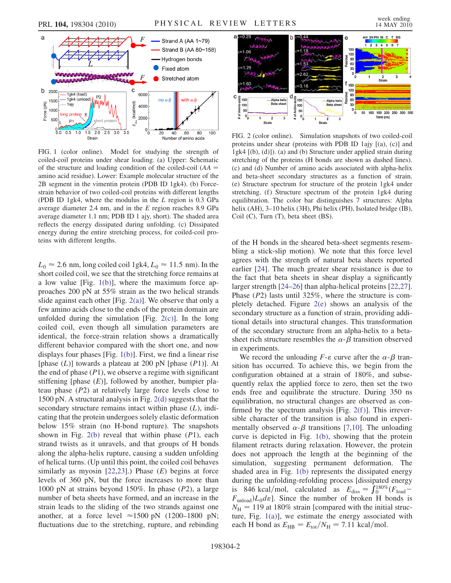

<span id="page-1-0"></span>FIG. 1 (color online). Model for studying the strength of coiled-coil proteins under shear loading. (a) Upper: Schematic of the structure and loading condition of the coiled-coil  $(AA =$ amino acid residue). Lower: Example molecular structure of the 2B segment in the vimentin protein (PDB ID 1gk4). (b) Forcestrain behavior of two coiled-coil proteins with different lengths (PDB ID 1gk4, where the modulus in the L region is 0.3 GPa average diameter 2.4 nm, and in the E region reaches 8.9 GPa average diameter 1.1 nm; PDB ID 1 ajy, short). The shaded area reflects the energy dissipated during unfolding. (c) Dissipated energy during the entire stretching process, for coiled-coil proteins with different lengths.

 $L_0 \approx 2.6$  nm, long coiled coil 1gk4,  $L_0 \approx 11.5$  nm). In the short coiled coil, we see that the stretching force remains at short coiled coil, we see that the stretching force remains at a low value [Fig. [1\(b\)](#page-1-0)], where the maximum force approaches 200 pN at 55% strain as the two helical strands slide against each other [Fig.  $2(a)$ ]. We observe that only a few amino acids close to the ends of the protein domain are unfolded during the simulation [Fig.  $2(c)$ ]. In the long coiled coil, even though all simulation parameters are identical, the force-strain relation shows a dramatically different behavior compared with the short one, and now displays four phases [Fig. [1\(b\)](#page-1-0)]. First, we find a linear rise [phase  $(L)$ ] towards a plateau at 200 pN [phase  $(P1)$ ]. At the end of phase  $(P1)$ , we observe a regime with significant stiffening [phase  $(E)$ ], followed by another, bumpier plateau phase (P2) at relatively large force levels close to 1500 pN. A structural analysis in Fig. [2\(d\)](#page-1-1) suggests that the secondary structure remains intact within phase  $(L)$ , indicating that the protein undergoes solely elastic deformation below 15% strain (no H-bond rupture). The snapshots shown in Fig.  $2(b)$  reveal that within phase  $(P1)$ , each strand twists as it unravels, and that groups of H bonds along the alpha-helix rupture, causing a sudden unfolding of helical turns. (Up until this point, the coiled coil behaves similarly as myosin  $[22,23]$  $[22,23]$ .) Phase  $(E)$  begins at force levels of 360 pN, but the force increases to more than 1000 pN at strains beyond 150%. In phase (P2), a large number of beta sheets have formed, and an increase in the strain leads to the sliding of the two strands against one another, at a force level  $\approx$ 1500 pN (1200–1800 pN;<br>fluctuations due to the stretching runture and rehinding fluctuations due to the stretching, rupture, and rebinding



<span id="page-1-1"></span>FIG. 2 (color online). Simulation snapshots of two coiled-coil proteins under shear (proteins with PDB ID 1ajy [(a), (c)] and 1gk4 [(b), (d)]). (a) and (b) Structure under applied strain during stretching of the proteins (H bonds are shown as dashed lines). (c) and (d) Number of amino acids associated with alpha-helix and beta-sheet secondary structures as a function of strain. (e) Structure spectrum for structure of the protein 1gk4 under stretching. (f) Structure spectrum of the protein 1gk4 during equilibration. The color bar distinguishes 7 structures: Alpha helix (AH), 3–10 helix (3H), Phi helix (PH), Isolated bridge (IB), Coil (C), Turn (T), beta sheet (BS).

of the H bonds in the sheared beta-sheet segments resembling a stick-slip motion). We note that this force level agrees with the strength of natural beta sheets reported earlier [\[24\]](#page-3-24). The much greater shear resistance is due to the fact that beta sheets in shear display a significantly larger strength [\[24](#page-3-24)[–26\]](#page-3-25) than alpha-helical proteins [\[22,](#page-3-22)[27\]](#page-3-26). Phase (P2) lasts until 325%, where the structure is completely detached. Figure [2\(e\)](#page-1-1) shows an analysis of the secondary structure as a function of strain, providing additional details into structural changes. This transformation of the secondary structure from an alpha-helix to a betasheet rich structure resembles the  $\alpha$ - $\beta$  transition observed in experiments.

We record the unloading  $F$ - $\varepsilon$  curve after the  $\alpha$ - $\beta$  transition has occurred. To achieve this, we begin from the configuration obtained at a strain of 180%, and subsequently relax the applied force to zero, then set the two ends free and equilibrate the structure. During 350 ns equilibration, no structural changes are observed as confirmed by the spectrum analysis [Fig.  $2(f)$ ]. This irreversible character of the transition is also found in experimentally observed  $\alpha$ - $\beta$  transitions [[7](#page-3-8),[10](#page-3-7)]. The unloading curve is depicted in Fig. [1\(b\),](#page-1-0) showing that the protein filament retracts during relaxation. However, the protein does not approach the length at the beginning of the simulation, suggesting permanent deformation. The shaded area in Fig. [1\(b\)](#page-1-0) represents the dissipated energy during the unfolding-refolding process [dissipated energy is 846 kcal/mol, calculated as  $E_{\text{diss}} = \int_0^{180\%} (F_{\text{load}} - F_{\text{cav}}) I_{\text{odd}}$  $F_{\text{unload}}/L_0d\varepsilon$ . Since the number of broken H bonds is  $N_{\rm H}$  = 119 at 180% strain [compared with the initial structure, Fig. [1\(a\)](#page-1-0)], we estimate the energy associated with each H bond as  $E_{\text{HB}}=E_{\text{tot}}/N_{\text{H}} = 7.11 \text{ kcal/mol}.$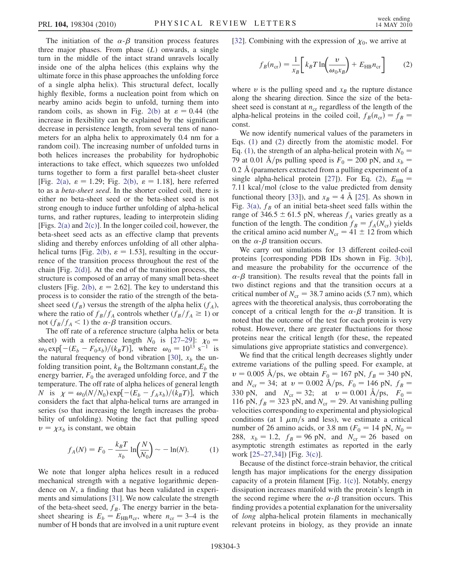The initiation of the  $\alpha-\beta$  transition process features three major phases. From phase  $(L)$  onwards, a single turn in the middle of the intact strand unravels locally inside one of the alpha helices (this explains why the ultimate force in this phase approaches the unfolding force of a single alpha helix). This structural defect, locally highly flexible, forms a nucleation point from which on nearby amino acids begin to unfold, turning them into random coils, as shown in Fig. [2\(b\)](#page-1-1) at  $\varepsilon = 0.44$  (the increase in flexibility can be explained by the significant decrease in persistence length, from several tens of nanometers for an alpha helix to approximately 0.4 nm for a random coil). The increasing number of unfolded turns in both helices increases the probability for hydrophobic interactions to take effect, which squeezes two unfolded turns together to form a first parallel beta-sheet cluster [Fig. [2\(a\)](#page-1-1),  $\varepsilon = 1.29$ ; Fig. [2\(b\),](#page-1-1)  $\varepsilon = 1.18$ ], here referred to as a beta-sheet seed. In the shorter coiled coil, there is either no beta-sheet seed or the beta-sheet seed is not strong enough to induce further unfolding of alpha-helical turns, and rather ruptures, leading to interprotein sliding [Figs. [2\(a\)](#page-1-1) and [2\(c\)\]](#page-1-1). In the longer coiled coil, however, the beta-sheet seed acts as an effective clamp that prevents sliding and thereby enforces unfolding of all other alpha-helical turns [Fig. [2\(b\),](#page-1-1)  $\varepsilon = 1.53$ ], resulting in the occurrence of the transition process throughout the rest of the chain [Fig.  $2(d)$ ]. At the end of the transition process, the structure is composed of an array of many small beta-sheet clusters [Fig. [2\(b\)](#page-1-1),  $\varepsilon = 2.62$ ]. The key to understand this process is to consider the ratio of the strength of the betasheet seed  $(f_B)$  versus the strength of the alpha helix  $(f_A)$ , where the ratio of  $f_B/f_A$  controls whether  $(f_B/f_A \ge 1)$  or not  $(f_B/f_A < 1)$  the  $\alpha$ - $\beta$  transition occurs.

The off rate of a reference structure (alpha helix or beta sheet) with a reference length  $N_0$  is [\[27–](#page-3-26)[29](#page-3-27)]:  $\chi_0$  =  $\omega_0 \exp[-(E_b - F_0 x_b)/(k_B T)]$ , where  $\omega_0 = 10^{13} \text{ s}^{-1}$  is the natural frequency of bond vibration [[30](#page-3-28)],  $x_b$  the unfolding transition point,  $k_B$  the Boltzmann constant, $E_b$  the energy barrier,  $F_0$  the averaged unfolding force, and T the temperature. The off rate of alpha helices of general length N is  $\chi = \omega_0(N/N_0) \exp[-(E_b - f_A x_b)/(k_B T)]$ , which considers the fact that alpha-helical turns are arranged in series (so that increasing the length increases the probability of unfolding). Noting the fact that pulling speed  $v = \chi x_b$  is constant, we obtain

<span id="page-2-0"></span>
$$
f_A(N) = F_0 - \frac{k_B T}{x_b} \ln \left( \frac{N}{N_0} \right) \sim -\ln(N). \tag{1}
$$

We note that longer alpha helices result in a reduced mechanical strength with a negative logarithmic dependence on N, a finding that has been validated in experiments and simulations [[31](#page-3-29)]. We now calculate the strength of the beta-sheet seed,  $f_B$ . The energy barrier in the betasheet shearing is  $E_b = E_{HB} n_{cr}$ , where  $n_{cr} = 3-4$  is the number of H bonds that are involved in a unit rupture event <span id="page-2-1"></span>[\[32\]](#page-3-30). Combining with the expression of  $\chi_0$ , we arrive at

$$
f_B(n_{\rm cr}) = \frac{1}{x_B} \bigg[ k_B T \ln \bigg( \frac{\nu}{\omega_0 x_B} \bigg) + E_{\rm HB} n_{\rm cr} \bigg] \tag{2}
$$

where  $\nu$  is the pulling speed and  $x_B$  the rupture distance along the shearing direction. Since the size of the betasheet seed is constant at  $n_{cr}$  regardless of the length of the alpha-helical proteins in the coiled coil,  $f_B(n_{cr}) = f_B$  = const.

We now identify numerical values of the parameters in Eqs. [\(1](#page-2-0)) and [\(2\)](#page-2-1) directly from the atomistic model. For Eq. [\(1\)](#page-2-0), the strength of an alpha-helical protein with  $N_0$  = 79 at 0.01 Å/ps pulling speed is  $F_0 = 200$  pN, and  $x_b =$  $0.2 \text{ Å}$  (parameters extracted from a pulling experiment of a single alpha-helical protein [[27](#page-3-26)]). For Eq. ([2](#page-2-1)),  $E_{HR}$  = 7.11 kcal/mol (close to the value predicted from density functional theory [\[33\]](#page-3-31)), and  $x_B = 4$  Å [[25](#page-3-32)]. As shown in Fig. [3\(a\)](#page-3-33),  $f_B$  of an initial beta-sheet seed falls within the range of 346.5  $\pm$  61.5 pN, whereas  $f_A$  varies greatly as a function of the length. The condition  $f_B = f_A(N_{cr})$  yields the critical amino acid number  $N_{cr} = 41 \pm 12$  from which on the  $\alpha$ - $\beta$  transition occurs.

We carry out simulations for 13 different coiled-coil proteins [corresponding PDB IDs shown in Fig. [3\(b\)\]](#page-3-33), and measure the probability for the occurrence of the  $\alpha$ - $\beta$  transition). The results reveal that the points fall in two distinct regions and that the transition occurs at a critical number of  $N_{cr} = 38.7$  amino acids (5.7 nm), which agrees with the theoretical analysis, thus corroborating the concept of a critical length for the  $\alpha$ - $\beta$  transition. It is noted that the outcome of the test for each protein is very robust. However, there are greater fluctuations for those proteins near the critical length (for these, the repeated simulations give appropriate statistics and convergence).

We find that the critical length decreases slightly under extreme variations of the pulling speed. For example, at  $v = 0.005$  Å/ps, we obtain  $F_0 = 167$  pN,  $f_B = 340$  pN, and  $N_{cr} = 34$ ; at  $v = 0.002 \text{ Å/ps}$ ,  $F_0 = 146 \text{ pN}$ ,  $f_B =$ 330 pN, and  $N_{cr} = 32$ ; at  $v = 0.001 \text{ Å/ps}$ ,  $F_0 =$ 116 pN,  $f_B = 323$  pN, and  $N_{cr} = 29$ . At vanishing pulling velocities corresponding to experimental and physiological conditions (at 1  $\mu$ m/s and less), we estimate a critical number of 26 amino acids, or 3.8 nm ( $F_0 = 14$  pN,  $N_0 =$ 288,  $x_b = 1.2$ ,  $f_B = 96$  pN, and  $N_{cr} = 26$  based on asymptotic strength estimates as reported in the early work [[25](#page-3-32)–[27](#page-3-26),[34](#page-3-34)]) [Fig. [3\(c\)](#page-3-33)].

Because of the distinct force-strain behavior, the critical length has major implications for the energy dissipation capacity of a protein filament [Fig. [1\(c\)](#page-1-0)]. Notably, energy dissipation increases manifold with the protein's length in the second regime where the  $\alpha$ - $\beta$  transition occurs. This finding provides a potential explanation for the universality of long alpha-helical protein filaments in mechanically relevant proteins in biology, as they provide an innate